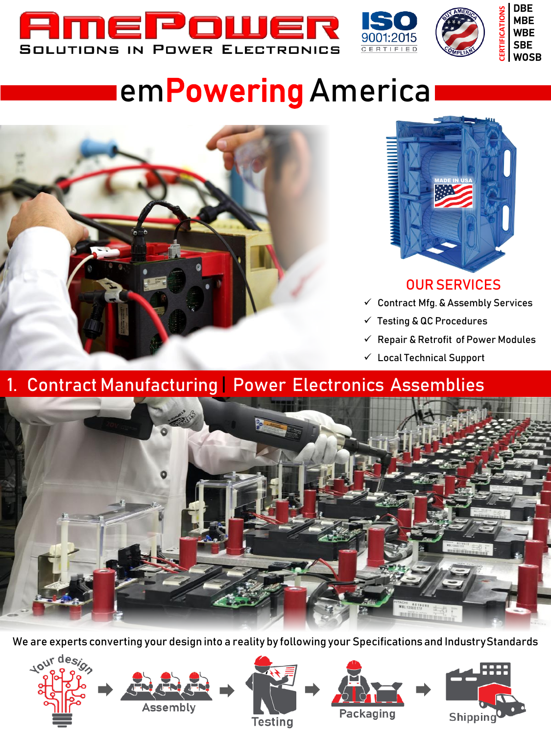





# **IemPowering** America



Assembly

10ur design



### **OUR SERVICES**

- $\checkmark$  Contract Mfg. & Assembly Services
- $\checkmark$  Testing & QC Procedures
- $\checkmark$  Repair & Retrofit of Power Modules

Shipping

 $\checkmark$  Local Technical Support

## 1. Contract Manufacturing | Power Electronics Assemblies



We are experts converting your design into a reality by following your Specifications and Industry Standards

**Testing** 

Packaging